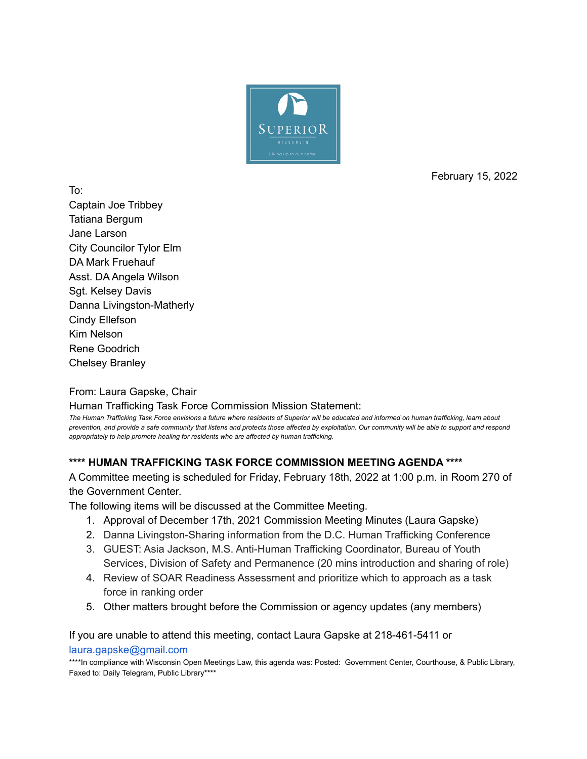

February 15, 2022

To: Captain Joe Tribbey Tatiana Bergum Jane Larson City Councilor Tylor Elm DA Mark Fruehauf Asst. DA Angela Wilson Sgt. Kelsey Davis Danna Livingston-Matherly Cindy Ellefson Kim Nelson Rene Goodrich Chelsey Branley

From: Laura Gapske, Chair

Human Trafficking Task Force Commission Mission Statement:

The Human Trafficking Task Force envisions a future where residents of Superior will be educated and informed on human trafficking, learn about prevention, and provide a safe community that listens and protects those affected by exploitation. Our community will be able to support and respond *appropriately to help promote healing for residents who are affected by human trafficking.*

### **\*\*\*\* HUMAN TRAFFICKING TASK FORCE COMMISSION MEETING AGENDA \*\*\*\***

A Committee meeting is scheduled for Friday, February 18th, 2022 at 1:00 p.m. in Room 270 of the Government Center.

The following items will be discussed at the Committee Meeting.

- 1. Approval of December 17th, 2021 Commission Meeting Minutes (Laura Gapske)
- 2. Danna Livingston-Sharing information from the D.C. Human Trafficking Conference
- 3. GUEST: Asia Jackson, M.S. Anti-Human Trafficking Coordinator, Bureau of Youth Services, Division of Safety and Permanence (20 mins introduction and sharing of role)
- 4. Review of SOAR Readiness Assessment and prioritize which to approach as a task force in ranking order
- 5. Other matters brought before the Commission or agency updates (any members)

If you are unable to attend this meeting, contact Laura Gapske at 218-461-5411 or [laura.gapske@gmail.com](mailto:laura.gapske@gmail.com)

\*\*\*\*In compliance with Wisconsin Open Meetings Law, this agenda was: Posted: Government Center, Courthouse, & Public Library, Faxed to: Daily Telegram, Public Library\*\*\*\*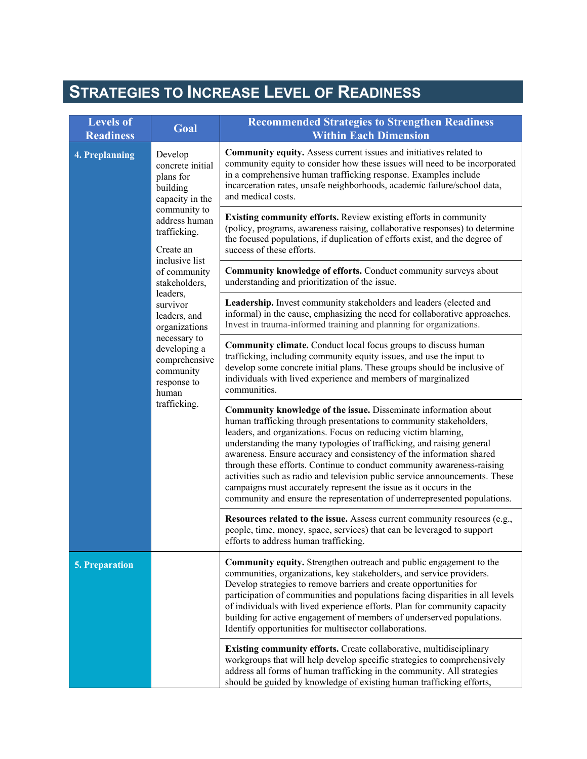### **STRATEGIES TO INCREASE LEVEL OF READINESS**

| <b>Levels of</b><br><b>Readiness</b> | Goal                                                                                                                                                                                                                                                                                                                                                    | <b>Recommended Strategies to Strengthen Readiness</b><br><b>Within Each Dimension</b>                                                                                                                                                                                                                                                                                                                                                                                                                                                                                                                                                                             |  |  |
|--------------------------------------|---------------------------------------------------------------------------------------------------------------------------------------------------------------------------------------------------------------------------------------------------------------------------------------------------------------------------------------------------------|-------------------------------------------------------------------------------------------------------------------------------------------------------------------------------------------------------------------------------------------------------------------------------------------------------------------------------------------------------------------------------------------------------------------------------------------------------------------------------------------------------------------------------------------------------------------------------------------------------------------------------------------------------------------|--|--|
| <b>4. Preplanning</b>                | Develop<br>concrete initial<br>plans for<br>building<br>capacity in the<br>community to<br>address human<br>trafficking.<br>Create an<br>inclusive list<br>of community<br>stakeholders,<br>leaders,<br>survivor<br>leaders, and<br>organizations<br>necessary to<br>developing a<br>comprehensive<br>community<br>response to<br>human<br>trafficking. | Community equity. Assess current issues and initiatives related to<br>community equity to consider how these issues will need to be incorporated<br>in a comprehensive human trafficking response. Examples include<br>incarceration rates, unsafe neighborhoods, academic failure/school data,<br>and medical costs.                                                                                                                                                                                                                                                                                                                                             |  |  |
|                                      |                                                                                                                                                                                                                                                                                                                                                         | Existing community efforts. Review existing efforts in community<br>(policy, programs, awareness raising, collaborative responses) to determine<br>the focused populations, if duplication of efforts exist, and the degree of<br>success of these efforts.                                                                                                                                                                                                                                                                                                                                                                                                       |  |  |
|                                      |                                                                                                                                                                                                                                                                                                                                                         | Community knowledge of efforts. Conduct community surveys about<br>understanding and prioritization of the issue.                                                                                                                                                                                                                                                                                                                                                                                                                                                                                                                                                 |  |  |
|                                      |                                                                                                                                                                                                                                                                                                                                                         | Leadership. Invest community stakeholders and leaders (elected and<br>informal) in the cause, emphasizing the need for collaborative approaches.<br>Invest in trauma-informed training and planning for organizations.                                                                                                                                                                                                                                                                                                                                                                                                                                            |  |  |
|                                      |                                                                                                                                                                                                                                                                                                                                                         | <b>Community climate.</b> Conduct local focus groups to discuss human<br>trafficking, including community equity issues, and use the input to<br>develop some concrete initial plans. These groups should be inclusive of<br>individuals with lived experience and members of marginalized<br>communities.                                                                                                                                                                                                                                                                                                                                                        |  |  |
|                                      |                                                                                                                                                                                                                                                                                                                                                         | Community knowledge of the issue. Disseminate information about<br>human trafficking through presentations to community stakeholders,<br>leaders, and organizations. Focus on reducing victim blaming,<br>understanding the many typologies of trafficking, and raising general<br>awareness. Ensure accuracy and consistency of the information shared<br>through these efforts. Continue to conduct community awareness-raising<br>activities such as radio and television public service announcements. These<br>campaigns must accurately represent the issue as it occurs in the<br>community and ensure the representation of underrepresented populations. |  |  |
|                                      |                                                                                                                                                                                                                                                                                                                                                         | Resources related to the issue. Assess current community resources (e.g.,<br>people, time, money, space, services) that can be leveraged to support<br>efforts to address human trafficking.                                                                                                                                                                                                                                                                                                                                                                                                                                                                      |  |  |
| <b>5. Preparation</b>                |                                                                                                                                                                                                                                                                                                                                                         | Community equity. Strengthen outreach and public engagement to the<br>communities, organizations, key stakeholders, and service providers.<br>Develop strategies to remove barriers and create opportunities for<br>participation of communities and populations facing disparities in all levels<br>of individuals with lived experience efforts. Plan for community capacity<br>building for active engagement of members of underserved populations.<br>Identify opportunities for multisector collaborations.                                                                                                                                                 |  |  |
|                                      |                                                                                                                                                                                                                                                                                                                                                         | Existing community efforts. Create collaborative, multidisciplinary<br>workgroups that will help develop specific strategies to comprehensively<br>address all forms of human trafficking in the community. All strategies<br>should be guided by knowledge of existing human trafficking efforts,                                                                                                                                                                                                                                                                                                                                                                |  |  |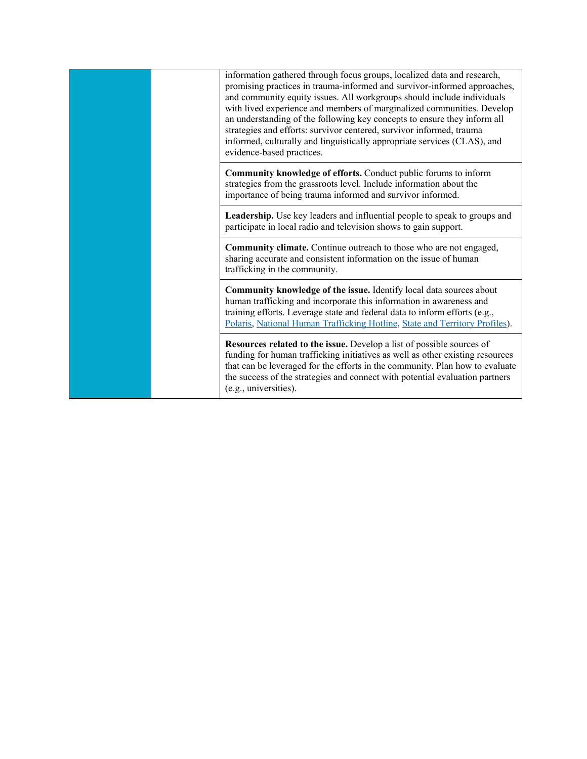